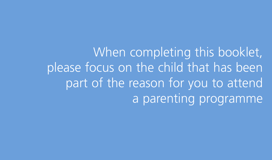When completing this booklet, please focus on the child that has been part of the reason for you to attend a parenting programme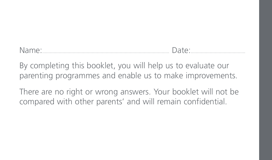Name:.................................................................................................... Date:...........................................

By completing this booklet, you will help us to evaluate our parenting programmes and enable us to make improvements.

There are no right or wrong answers. Your booklet will not be compared with other parents' and will remain confidential.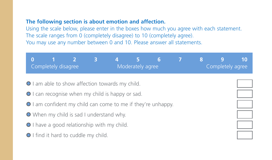#### **The following section is about emotion and affection.**

| 3<br>$\overline{2}$<br>0<br>1.<br>Completely disagree                                                            | 57<br>Moderately agree | 6 |  | 8 | 9<br>Completely agree | 10 |  |  |  |  |
|------------------------------------------------------------------------------------------------------------------|------------------------|---|--|---|-----------------------|----|--|--|--|--|
| I am able to show affection towards my child.                                                                    |                        |   |  |   |                       |    |  |  |  |  |
| ● I can recognise when my child is happy or sad.<br>● I am confident my child can come to me if they're unhappy. |                        |   |  |   |                       |    |  |  |  |  |
| • When my child is sad I understand why.                                                                         |                        |   |  |   |                       |    |  |  |  |  |
| I have a good relationship with my child.<br>If ind it hard to cuddle my child.                                  |                        |   |  |   |                       |    |  |  |  |  |
|                                                                                                                  |                        |   |  |   |                       |    |  |  |  |  |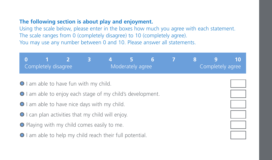### **The following section is about play and enjoyment.**

| $\bf{0}$                                                  | 1<br>Completely disagree                   | $\overline{\mathcal{L}}$ | 3 |  | 5.<br>Moderately agree | 6 |  | 8 | 9<br>Completely agree | 10 |  |
|-----------------------------------------------------------|--------------------------------------------|--------------------------|---|--|------------------------|---|--|---|-----------------------|----|--|
| I am able to have fun with my child.                      |                                            |                          |   |  |                        |   |  |   |                       |    |  |
| I am able to enjoy each stage of my child's development.  |                                            |                          |   |  |                        |   |  |   |                       |    |  |
|                                                           | I am able to have nice days with my child. |                          |   |  |                        |   |  |   |                       |    |  |
| $\bullet$ I can plan activities that my child will enjoy. |                                            |                          |   |  |                        |   |  |   |                       |    |  |
| • Playing with my child comes easily to me.               |                                            |                          |   |  |                        |   |  |   |                       |    |  |
| I am able to help my child reach their full potential.    |                                            |                          |   |  |                        |   |  |   |                       |    |  |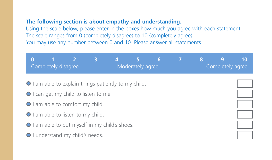#### **The following section is about empathy and understanding.**

|                                                                                  | $\overline{2}$<br>0<br>Completely disagree           | $\overline{\mathbf{3}}$ | 4 | 5<br>Moderately agree | 6 |  | 8 | 9<br>Completely agree | 10 |
|----------------------------------------------------------------------------------|------------------------------------------------------|-------------------------|---|-----------------------|---|--|---|-----------------------|----|
|                                                                                  | ● I am able to explain things patiently to my child. |                         |   |                       |   |  |   |                       |    |
| ● I can get my child to listen to me.<br>O I am able to comfort my child.        |                                                      |                         |   |                       |   |  |   |                       |    |
| O I am able to listen to my child.                                               |                                                      |                         |   |                       |   |  |   |                       |    |
| I am able to put myself in my child's shoes.<br>O I understand my child's needs. |                                                      |                         |   |                       |   |  |   |                       |    |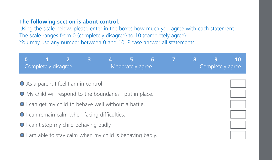#### **The following section is about control.**

| $\overline{2}$<br>$\bf{0}$<br>1<br>Completely disagree    | $\overline{3}$<br>5<br>Moderately agree | 6 | 7 | 8 | 10<br>9<br>Completely agree |  |  |  |  |  |  |
|-----------------------------------------------------------|-----------------------------------------|---|---|---|-----------------------------|--|--|--|--|--|--|
| ● As a parent I feel I am in control.                     |                                         |   |   |   |                             |  |  |  |  |  |  |
| • My child will respond to the boundaries I put in place. |                                         |   |   |   |                             |  |  |  |  |  |  |
| ● I can get my child to behave well without a battle.     |                                         |   |   |   |                             |  |  |  |  |  |  |
| ● I can remain calm when facing difficulties.             |                                         |   |   |   |                             |  |  |  |  |  |  |
| ● I can't stop my child behaving badly.                   |                                         |   |   |   |                             |  |  |  |  |  |  |
| I am able to stay calm when my child is behaving badly.   |                                         |   |   |   |                             |  |  |  |  |  |  |
|                                                           |                                         |   |   |   |                             |  |  |  |  |  |  |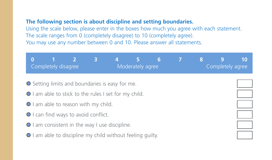#### **The following section is about discipline and setting boundaries.**

|                                                            | $\overline{\mathbf{3}}$<br>$\overline{\phantom{a}}$<br><b>g</b><br>10<br>0<br>6<br>8<br>Completely disagree<br>Moderately agree<br>Completely agree |  |  |  |  |  |  |  |  |  |  |
|------------------------------------------------------------|-----------------------------------------------------------------------------------------------------------------------------------------------------|--|--|--|--|--|--|--|--|--|--|
| ● Setting limits and boundaries is easy for me.            |                                                                                                                                                     |  |  |  |  |  |  |  |  |  |  |
| I am able to stick to the rules I set for my child.        |                                                                                                                                                     |  |  |  |  |  |  |  |  |  |  |
|                                                            | O I am able to reason with my child.                                                                                                                |  |  |  |  |  |  |  |  |  |  |
| ● I can find ways to avoid conflict.                       |                                                                                                                                                     |  |  |  |  |  |  |  |  |  |  |
| ● I am consistent in the way I use discipline.             |                                                                                                                                                     |  |  |  |  |  |  |  |  |  |  |
| ● I am able to discipline my child without feeling quilty. |                                                                                                                                                     |  |  |  |  |  |  |  |  |  |  |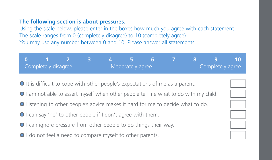#### **The following section is about pressures.**

Using the scale below, please enter in the boxes how much you agree with each statement. The scale ranges from 0 (completely disagree) to 10 (completely agree). You may use any number between 0 and 10. Please answer all statements.

|                     | - 1 - 2 - 3 - 4 - 5 - 6 - 7 - 8 - 9 - 10 - |  |                  |                  |  |  |  |
|---------------------|--------------------------------------------|--|------------------|------------------|--|--|--|
| Completely disagree |                                            |  | Moderately agree | Completely agree |  |  |  |

0 It is difficult to cope with other people's expectations of me as a parent.

- 0 I am not able to assert myself when other people tell me what to do with my child.
- 0 Listening to other people's advice makes it hard for me to decide what to do.
- 0 I can say 'no' to other people if I don't agree with them.
- 0 I can ignore pressure from other people to do things their way.
- 0 I do not feel a need to compare myself to other parents.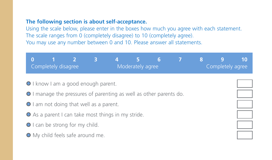#### **The following section is about self-acceptance.**

| $\overline{\mathcal{L}}$<br>$\Omega$<br>n<br>Completely disagree   | $\overline{\mathbf{3}}$ |  | Moderately agree | 6 |  | 8 | 9<br>Completely agree | 10 |  |  |  |
|--------------------------------------------------------------------|-------------------------|--|------------------|---|--|---|-----------------------|----|--|--|--|
| O I know I am a good enough parent.                                |                         |  |                  |   |  |   |                       |    |  |  |  |
| O I manage the pressures of parenting as well as other parents do. |                         |  |                  |   |  |   |                       |    |  |  |  |
| I am not doing that well as a parent.                              |                         |  |                  |   |  |   |                       |    |  |  |  |
| ● As a parent I can take most things in my stride.                 |                         |  |                  |   |  |   |                       |    |  |  |  |
| O I can be strong for my child.                                    |                         |  |                  |   |  |   |                       |    |  |  |  |
| O My child feels safe around me.                                   |                         |  |                  |   |  |   |                       |    |  |  |  |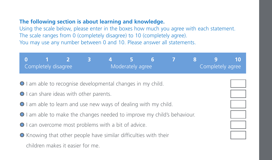## **The following section is about learning and knowledge.**

|                                                                         | $\Omega$<br>1<br>Completely disagree                             | $\overline{2}$ | $\overline{\mathbf{3}}$ | 4 | $5 -$<br>Moderately agree | 6 | $\mathcal{I}$ | 8 | 9<br>Completely agree | 10 |
|-------------------------------------------------------------------------|------------------------------------------------------------------|----------------|-------------------------|---|---------------------------|---|---------------|---|-----------------------|----|
|                                                                         | ● I am able to recognise developmental changes in my child.      |                |                         |   |                           |   |               |   |                       |    |
|                                                                         | ● I can share ideas with other parents.                          |                |                         |   |                           |   |               |   |                       |    |
|                                                                         | I am able to learn and use new ways of dealing with my child.    |                |                         |   |                           |   |               |   |                       |    |
| ● I am able to make the changes needed to improve my child's behaviour. |                                                                  |                |                         |   |                           |   |               |   |                       |    |
| ● I can overcome most problems with a bit of advice.                    |                                                                  |                |                         |   |                           |   |               |   |                       |    |
|                                                                         | • Knowing that other people have similar difficulties with their |                |                         |   |                           |   |               |   |                       |    |
|                                                                         | children makes it easier for me.                                 |                |                         |   |                           |   |               |   |                       |    |